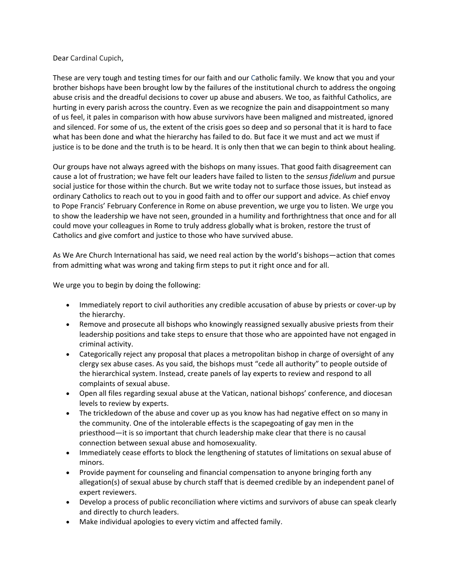## Dear Cardinal Cupich,

These are very tough and testing times for our faith and our Catholic family. We know that you and your brother bishops have been brought low by the failures of the institutional church to address the ongoing abuse crisis and the dreadful decisions to cover up abuse and abusers. We too, as faithful Catholics, are hurting in every parish across the country. Even as we recognize the pain and disappointment so many of us feel, it pales in comparison with how abuse survivors have been maligned and mistreated, ignored and silenced. For some of us, the extent of the crisis goes so deep and so personal that it is hard to face what has been done and what the hierarchy has failed to do. But face it we must and act we must if justice is to be done and the truth is to be heard. It is only then that we can begin to think about healing.

Our groups have not always agreed with the bishops on many issues. That good faith disagreement can cause a lot of frustration; we have felt our leaders have failed to listen to the *sensus fidelium* and pursue social justice for those within the church. But we write today not to surface those issues, but instead as ordinary Catholics to reach out to you in good faith and to offer our support and advice. As chief envoy to Pope Francis' February Conference in Rome on abuse prevention, we urge you to listen. We urge you to show the leadership we have not seen, grounded in a humility and forthrightness that once and for all could move your colleagues in Rome to truly address globally what is broken, restore the trust of Catholics and give comfort and justice to those who have survived abuse.

As We Are Church International has said, we need real action by the world's bishops—action that comes from admitting what was wrong and taking firm steps to put it right once and for all.

We urge you to begin by doing the following:

- Immediately report to civil authorities any credible accusation of abuse by priests or cover-up by the hierarchy.
- Remove and prosecute all bishops who knowingly reassigned sexually abusive priests from their leadership positions and take steps to ensure that those who are appointed have not engaged in criminal activity.
- Categorically reject any proposal that places a metropolitan bishop in charge of oversight of any clergy sex abuse cases. As you said, the bishops must "cede all authority" to people outside of the hierarchical system. Instead, create panels of lay experts to review and respond to all complaints of sexual abuse.
- Open all files regarding sexual abuse at the Vatican, national bishops' conference, and diocesan levels to review by experts.
- The trickledown of the abuse and cover up as you know has had negative effect on so many in the community. One of the intolerable effects is the scapegoating of gay men in the priesthood—it is so important that church leadership make clear that there is no causal connection between sexual abuse and homosexuality.
- Immediately cease efforts to block the lengthening of statutes of limitations on sexual abuse of minors.
- Provide payment for counseling and financial compensation to anyone bringing forth any allegation(s) of sexual abuse by church staff that is deemed credible by an independent panel of expert reviewers.
- Develop a process of public reconciliation where victims and survivors of abuse can speak clearly and directly to church leaders.
- Make individual apologies to every victim and affected family.